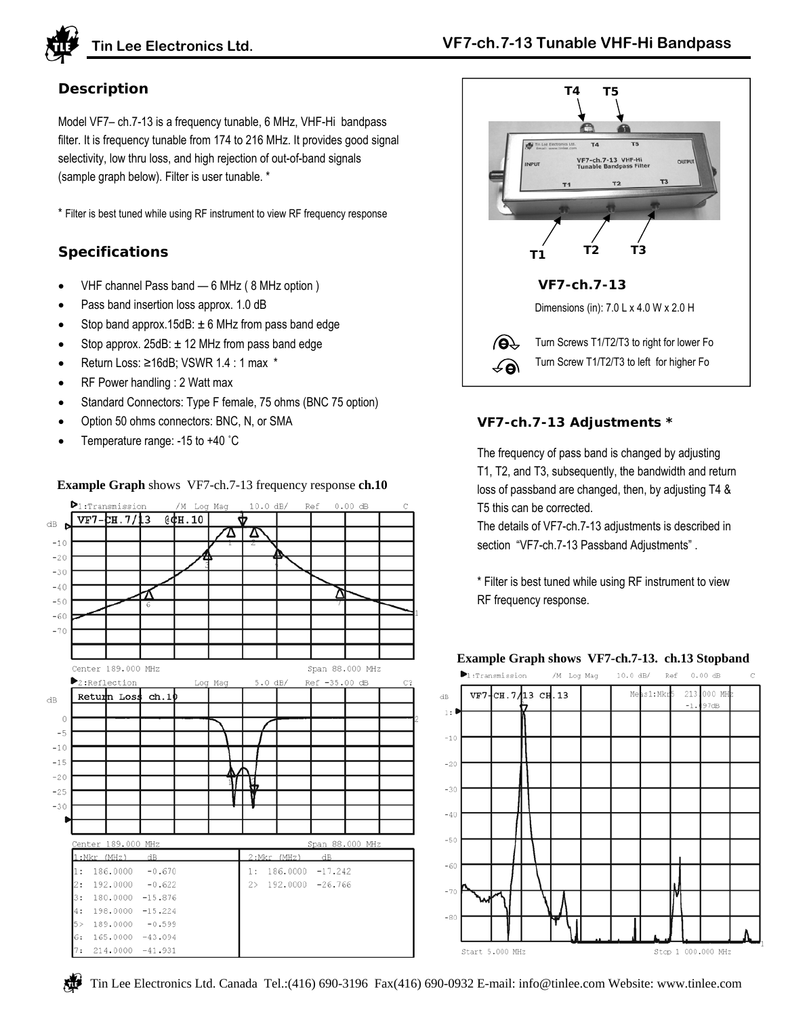

# **Description**

Model VF7– ch.7-13 is a frequency tunable, 6 MHz, VHF-Hi bandpass filter. It is frequency tunable from 174 to 216 MHz. It provides good signal selectivity, low thru loss, and high rejection of out-of-band signals (sample graph below). Filter is user tunable. \*

\* Filter is best tuned while using RF instrument to view RF frequency response

# **Specifications**

- VHF channel Pass band 6 MHz ( 8 MHz option )
- Pass band insertion loss approx. 1.0 dB
- Stop band approx.15dB:  $\pm$  6 MHz from pass band edge
- Stop approx.  $25dB: \pm 12 MHz$  from pass band edge
- Return Loss: ≥16dB; VSWR 1.4 : 1 max \*
- RF Power handling : 2 Watt max
- Standard Connectors: Type F female, 75 ohms (BNC 75 option)
- Option 50 ohms connectors: BNC, N, or SMA
- Temperature range: -15 to +40 ˚C



#### **Example Graph** shows VF7-ch.7-13 frequency response **ch.10**



## **VF7-ch.7-13 Adjustments \***

The frequency of pass band is changed by adjusting T1, T2, and T3, subsequently, the bandwidth and return loss of passband are changed, then, by adjusting T4 & T5 this can be corrected.

The details of VF7-ch.7-13 adjustments is described in section "VF7-ch.7-13 Passband Adjustments" .

\* Filter is best tuned while using RF instrument to view RF frequency response.



## **Example Graph shows VF7-ch.7-13. ch.13 Stopband**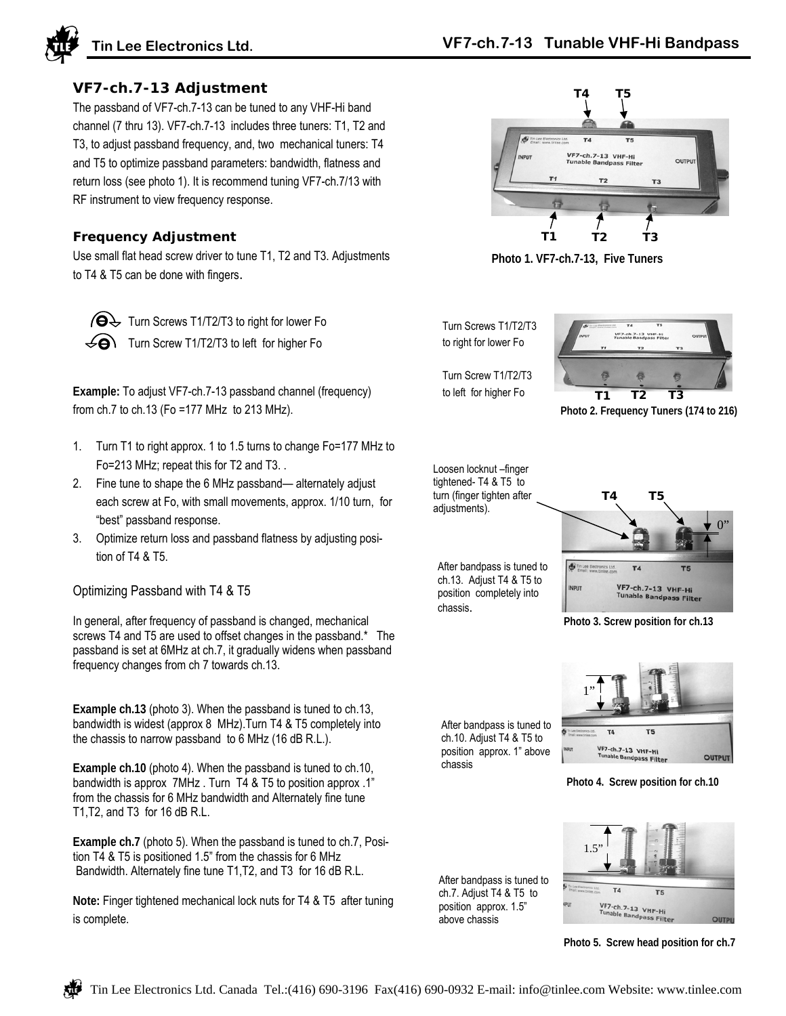

#### **VF7-ch.7-13 Adjustment**

The passband of VF7-ch.7-13 can be tuned to any VHF-Hi band channel (7 thru 13). VF7-ch.7-13 includes three tuners: T1, T2 and T3, to adjust passband frequency, and, two mechanical tuners: T4 and T5 to optimize passband parameters: bandwidth, flatness and return loss (see photo 1). It is recommend tuning VF7-ch.7/13 with RF instrument to view frequency response.

#### **Frequency Adjustment**

Use small flat head screw driver to tune T1, T2 and T3. Adjustments to T4 & T5 can be done with fingers.

 $\bigcirc \Theta$  Turn Screws T1/T2/T3 to right for lower Fo  $\leq$  Turn Screw T1/T2/T3 to left for higher Fo

**Example:** To adjust VF7-ch.7-13 passband channel (frequency) from ch.7 to ch.13 (Fo =177 MHz to 213 MHz).

- 1. Turn T1 to right approx. 1 to 1.5 turns to change Fo=177 MHz to Fo=213 MHz; repeat this for T2 and T3. .
- 2. Fine tune to shape the 6 MHz passband— alternately adjust each screw at Fo, with small movements, approx. 1/10 turn, for "best" passband response.
- 3. Optimize return loss and passband flatness by adjusting position of T4 & T5.

Optimizing Passband with T4 & T5

In general, after frequency of passband is changed, mechanical screws T4 and T5 are used to offset changes in the passband.\* The passband is set at 6MHz at ch.7, it gradually widens when passband frequency changes from ch 7 towards ch.13.

**Example ch.13** (photo 3). When the passband is tuned to ch.13, bandwidth is widest (approx 8 MHz).Turn T4 & T5 completely into the chassis to narrow passband to 6 MHz (16 dB R.L.).

**Example ch.10** (photo 4). When the passband is tuned to ch.10, bandwidth is approx 7MHz . Turn T4 & T5 to position approx .1" from the chassis for 6 MHz bandwidth and Alternately fine tune T1,T2, and T3 for 16 dB R.L.

**Example ch.7** (photo 5). When the passband is tuned to ch.7, Position T4 & T5 is positioned 1.5" from the chassis for 6 MHz Bandwidth. Alternately fine tune T1,T2, and T3 for 16 dB R.L.

**Note:** Finger tightened mechanical lock nuts for T4 & T5 after tuning is complete.



**Photo 1. VF7-ch.7-13, Five Tuners**

Turn Screws T1/T2/T3 to right for lower Fo

Turn Screw T1/T2/T3 to left for higher Fo



**Photo 2. Frequency Tuners (174 to 216)**

Loosen locknut –finger tightened- T4 & T5 to turn (finger tighten after adjustments).

After bandpass is tuned to ch.13. Adjust T4 & T5 to position completely into chassis.



**Photo 3. Screw position for ch.13**

1"

After bandpass is tuned to ch.10. Adjust T4 & T5 to position approx. 1" above chassis

**ISS Filter Photo 4. Screw position for ch.10**

VF7-ch.7-13 VHF-Hi

 $T<sub>5</sub>$ 

**OUTPUT** 

After bandpass is tuned to ch.7. Adjust T4 & T5 to position approx. 1.5" above chassis



**Photo 5. Screw head position for ch.7**